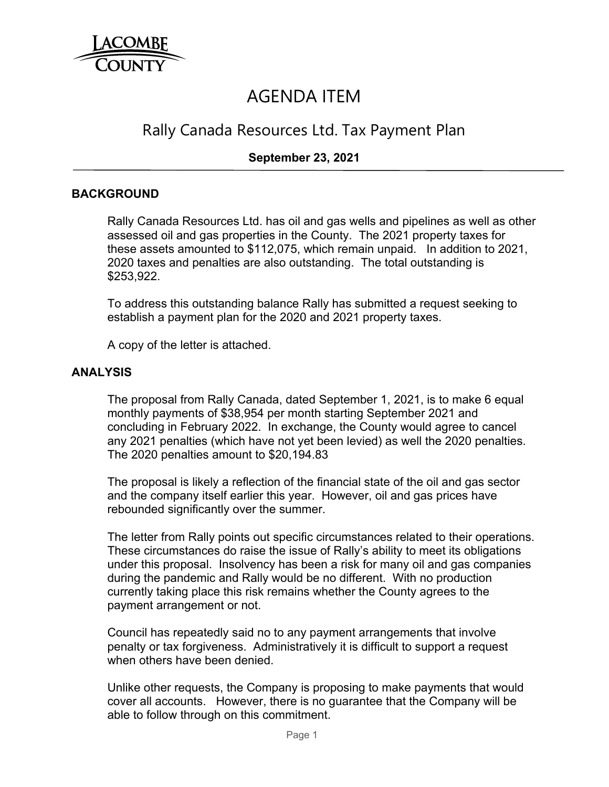

# AGENDA ITEM

# Rally Canada Resources Ltd. Tax Payment Plan

## **September 23, 2021**

#### **BACKGROUND**

Rally Canada Resources Ltd. has oil and gas wells and pipelines as well as other assessed oil and gas properties in the County. The 2021 property taxes for these assets amounted to \$112,075, which remain unpaid. In addition to 2021, 2020 taxes and penalties are also outstanding. The total outstanding is \$253,922.

To address this outstanding balance Rally has submitted a request seeking to establish a payment plan for the 2020 and 2021 property taxes.

A copy of the letter is attached.

#### **ANALYSIS**

The proposal from Rally Canada, dated September 1, 2021, is to make 6 equal monthly payments of \$38,954 per month starting September 2021 and concluding in February 2022. In exchange, the County would agree to cancel any 2021 penalties (which have not yet been levied) as well the 2020 penalties. The 2020 penalties amount to \$20,194.83

The proposal is likely a reflection of the financial state of the oil and gas sector and the company itself earlier this year. However, oil and gas prices have rebounded significantly over the summer.

The letter from Rally points out specific circumstances related to their operations. These circumstances do raise the issue of Rally's ability to meet its obligations under this proposal. Insolvency has been a risk for many oil and gas companies during the pandemic and Rally would be no different. With no production currently taking place this risk remains whether the County agrees to the payment arrangement or not.

Council has repeatedly said no to any payment arrangements that involve penalty or tax forgiveness. Administratively it is difficult to support a request when others have been denied.

Unlike other requests, the Company is proposing to make payments that would cover all accounts. However, there is no guarantee that the Company will be able to follow through on this commitment.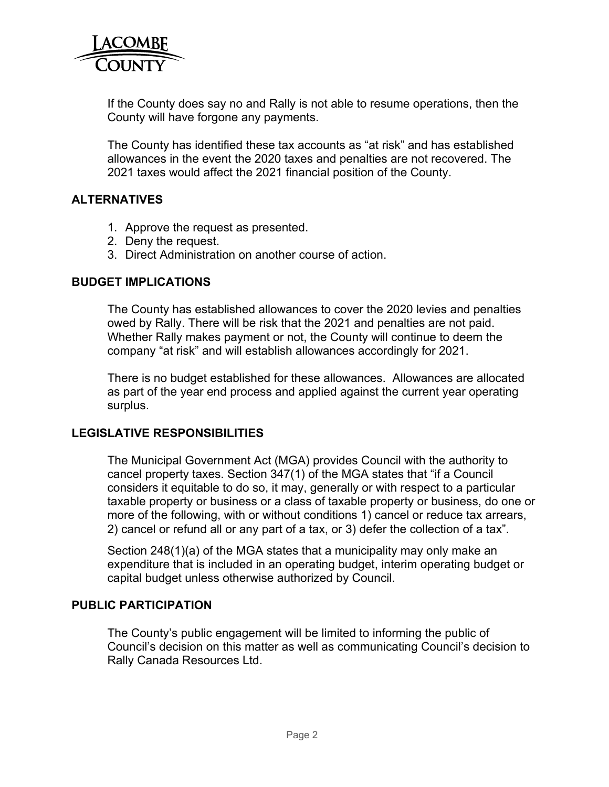

If the County does say no and Rally is not able to resume operations, then the County will have forgone any payments.

The County has identified these tax accounts as "at risk" and has established allowances in the event the 2020 taxes and penalties are not recovered. The 2021 taxes would affect the 2021 financial position of the County.

#### **ALTERNATIVES**

- 1. Approve the request as presented.
- 2. Deny the request.
- 3. Direct Administration on another course of action.

#### **BUDGET IMPLICATIONS**

The County has established allowances to cover the 2020 levies and penalties owed by Rally. There will be risk that the 2021 and penalties are not paid. Whether Rally makes payment or not, the County will continue to deem the company "at risk" and will establish allowances accordingly for 2021.

There is no budget established for these allowances. Allowances are allocated as part of the year end process and applied against the current year operating surplus.

#### **LEGISLATIVE RESPONSIBILITIES**

The Municipal Government Act (MGA) provides Council with the authority to cancel property taxes. Section 347(1) of the MGA states that "if a Council considers it equitable to do so, it may, generally or with respect to a particular taxable property or business or a class of taxable property or business, do one or more of the following, with or without conditions 1) cancel or reduce tax arrears, 2) cancel or refund all or any part of a tax, or 3) defer the collection of a tax".

Section 248(1)(a) of the MGA states that a municipality may only make an expenditure that is included in an operating budget, interim operating budget or capital budget unless otherwise authorized by Council.

#### **PUBLIC PARTICIPATION**

The County's public engagement will be limited to informing the public of Council's decision on this matter as well as communicating Council's decision to Rally Canada Resources Ltd.